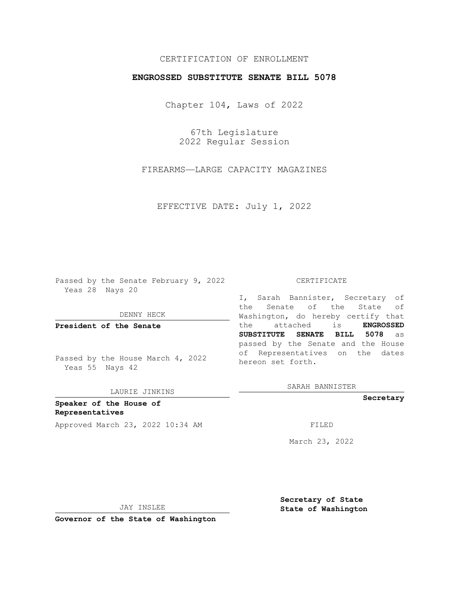## CERTIFICATION OF ENROLLMENT

## **ENGROSSED SUBSTITUTE SENATE BILL 5078**

Chapter 104, Laws of 2022

67th Legislature 2022 Regular Session

FIREARMS—LARGE CAPACITY MAGAZINES

EFFECTIVE DATE: July 1, 2022

Passed by the Senate February 9, 2022 Yeas 28 Nays 20

DENNY HECK

**President of the Senate**

Passed by the House March 4, 2022 Yeas 55 Nays 42

LAURIE JINKINS

**Speaker of the House of Representatives** Approved March 23, 2022 10:34 AM FILED

#### CERTIFICATE

I, Sarah Bannister, Secretary of the Senate of the State of Washington, do hereby certify that the attached is **ENGROSSED SUBSTITUTE SENATE BILL 5078** as passed by the Senate and the House of Representatives on the dates hereon set forth.

SARAH BANNISTER

**Secretary**

March 23, 2022

JAY INSLEE

**Secretary of State State of Washington**

**Governor of the State of Washington**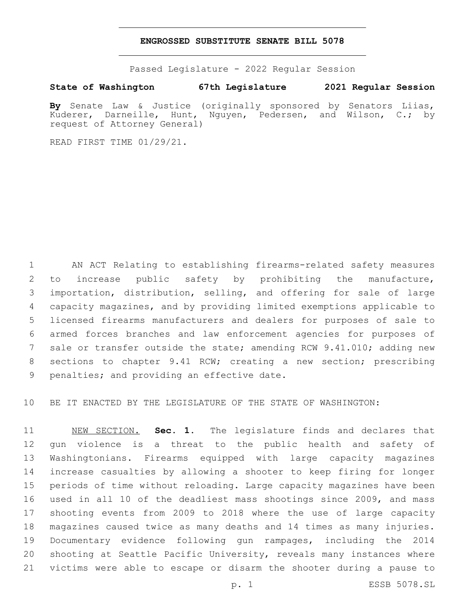### **ENGROSSED SUBSTITUTE SENATE BILL 5078**

Passed Legislature - 2022 Regular Session

# **State of Washington 67th Legislature 2021 Regular Session**

**By** Senate Law & Justice (originally sponsored by Senators Liias, Kuderer, Darneille, Hunt, Nguyen, Pedersen, and Wilson, C.; by request of Attorney General)

READ FIRST TIME 01/29/21.

 AN ACT Relating to establishing firearms-related safety measures to increase public safety by prohibiting the manufacture, importation, distribution, selling, and offering for sale of large capacity magazines, and by providing limited exemptions applicable to licensed firearms manufacturers and dealers for purposes of sale to armed forces branches and law enforcement agencies for purposes of sale or transfer outside the state; amending RCW 9.41.010; adding new sections to chapter 9.41 RCW; creating a new section; prescribing 9 penalties; and providing an effective date.

BE IT ENACTED BY THE LEGISLATURE OF THE STATE OF WASHINGTON:

 NEW SECTION. **Sec. 1.** The legislature finds and declares that gun violence is a threat to the public health and safety of Washingtonians. Firearms equipped with large capacity magazines increase casualties by allowing a shooter to keep firing for longer periods of time without reloading. Large capacity magazines have been used in all 10 of the deadliest mass shootings since 2009, and mass shooting events from 2009 to 2018 where the use of large capacity magazines caused twice as many deaths and 14 times as many injuries. Documentary evidence following gun rampages, including the 2014 shooting at Seattle Pacific University, reveals many instances where victims were able to escape or disarm the shooter during a pause to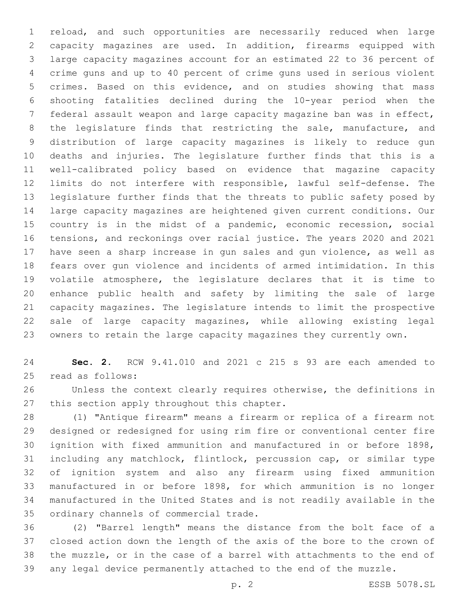reload, and such opportunities are necessarily reduced when large capacity magazines are used. In addition, firearms equipped with large capacity magazines account for an estimated 22 to 36 percent of crime guns and up to 40 percent of crime guns used in serious violent crimes. Based on this evidence, and on studies showing that mass shooting fatalities declined during the 10-year period when the federal assault weapon and large capacity magazine ban was in effect, the legislature finds that restricting the sale, manufacture, and distribution of large capacity magazines is likely to reduce gun deaths and injuries. The legislature further finds that this is a well-calibrated policy based on evidence that magazine capacity limits do not interfere with responsible, lawful self-defense. The legislature further finds that the threats to public safety posed by large capacity magazines are heightened given current conditions. Our 15 country is in the midst of a pandemic, economic recession, social tensions, and reckonings over racial justice. The years 2020 and 2021 have seen a sharp increase in gun sales and gun violence, as well as fears over gun violence and incidents of armed intimidation. In this volatile atmosphere, the legislature declares that it is time to enhance public health and safety by limiting the sale of large capacity magazines. The legislature intends to limit the prospective sale of large capacity magazines, while allowing existing legal owners to retain the large capacity magazines they currently own.

 **Sec. 2.** RCW 9.41.010 and 2021 c 215 s 93 are each amended to 25 read as follows:

 Unless the context clearly requires otherwise, the definitions in 27 this section apply throughout this chapter.

 (1) "Antique firearm" means a firearm or replica of a firearm not designed or redesigned for using rim fire or conventional center fire ignition with fixed ammunition and manufactured in or before 1898, including any matchlock, flintlock, percussion cap, or similar type of ignition system and also any firearm using fixed ammunition manufactured in or before 1898, for which ammunition is no longer manufactured in the United States and is not readily available in the 35 ordinary channels of commercial trade.

 (2) "Barrel length" means the distance from the bolt face of a closed action down the length of the axis of the bore to the crown of the muzzle, or in the case of a barrel with attachments to the end of any legal device permanently attached to the end of the muzzle.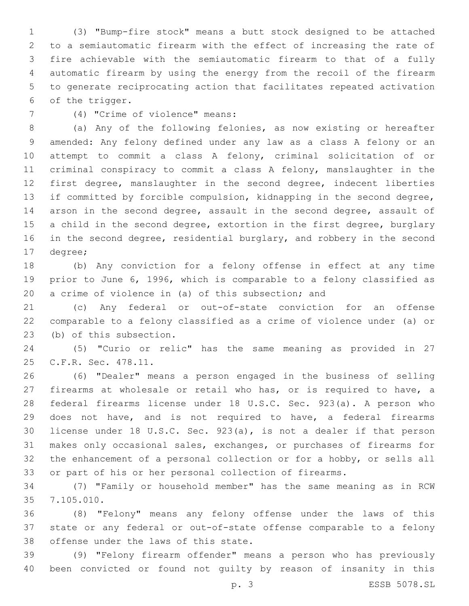(3) "Bump-fire stock" means a butt stock designed to be attached to a semiautomatic firearm with the effect of increasing the rate of fire achievable with the semiautomatic firearm to that of a fully automatic firearm by using the energy from the recoil of the firearm to generate reciprocating action that facilitates repeated activation 6 of the trigger.

(4) "Crime of violence" means:7

 (a) Any of the following felonies, as now existing or hereafter amended: Any felony defined under any law as a class A felony or an attempt to commit a class A felony, criminal solicitation of or criminal conspiracy to commit a class A felony, manslaughter in the first degree, manslaughter in the second degree, indecent liberties if committed by forcible compulsion, kidnapping in the second degree, arson in the second degree, assault in the second degree, assault of 15 a child in the second degree, extortion in the first degree, burglary 16 in the second degree, residential burglary, and robbery in the second 17 degree;

 (b) Any conviction for a felony offense in effect at any time prior to June 6, 1996, which is comparable to a felony classified as a crime of violence in (a) of this subsection; and

 (c) Any federal or out-of-state conviction for an offense comparable to a felony classified as a crime of violence under (a) or 23 (b) of this subsection.

 (5) "Curio or relic" has the same meaning as provided in 27 25 C.F.R. Sec. 478.11.

 (6) "Dealer" means a person engaged in the business of selling firearms at wholesale or retail who has, or is required to have, a federal firearms license under 18 U.S.C. Sec. 923(a). A person who does not have, and is not required to have, a federal firearms license under 18 U.S.C. Sec. 923(a), is not a dealer if that person makes only occasional sales, exchanges, or purchases of firearms for the enhancement of a personal collection or for a hobby, or sells all or part of his or her personal collection of firearms.

 (7) "Family or household member" has the same meaning as in RCW 7.105.010.35

 (8) "Felony" means any felony offense under the laws of this state or any federal or out-of-state offense comparable to a felony 38 offense under the laws of this state.

 (9) "Felony firearm offender" means a person who has previously been convicted or found not guilty by reason of insanity in this

p. 3 ESSB 5078.SL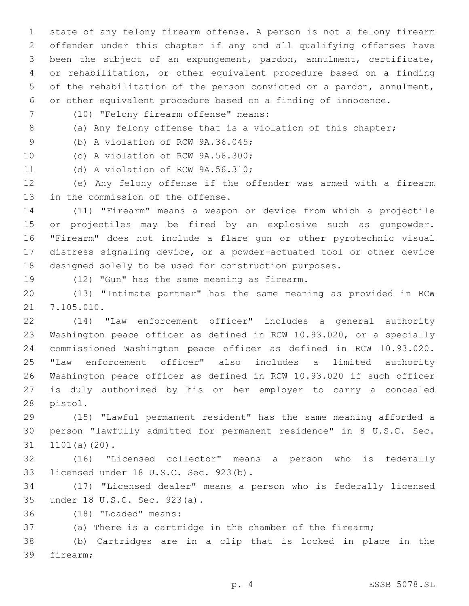state of any felony firearm offense. A person is not a felony firearm offender under this chapter if any and all qualifying offenses have been the subject of an expungement, pardon, annulment, certificate, or rehabilitation, or other equivalent procedure based on a finding of the rehabilitation of the person convicted or a pardon, annulment, or other equivalent procedure based on a finding of innocence.

- (10) "Felony firearm offense" means:7
- 

8 (a) Any felony offense that is a violation of this chapter;

9 (b) A violation of RCW 9A.36.045;

10 (c) A violation of RCW 9A.56.300;

11 (d) A violation of RCW 9A.56.310;

 (e) Any felony offense if the offender was armed with a firearm 13 in the commission of the offense.

 (11) "Firearm" means a weapon or device from which a projectile or projectiles may be fired by an explosive such as gunpowder. "Firearm" does not include a flare gun or other pyrotechnic visual distress signaling device, or a powder-actuated tool or other device designed solely to be used for construction purposes.

19 (12) "Gun" has the same meaning as firearm.

 (13) "Intimate partner" has the same meaning as provided in RCW 21 7.105.010.

 (14) "Law enforcement officer" includes a general authority Washington peace officer as defined in RCW 10.93.020, or a specially commissioned Washington peace officer as defined in RCW 10.93.020. "Law enforcement officer" also includes a limited authority Washington peace officer as defined in RCW 10.93.020 if such officer is duly authorized by his or her employer to carry a concealed 28 pistol.

 (15) "Lawful permanent resident" has the same meaning afforded a person "lawfully admitted for permanent residence" in 8 U.S.C. Sec. 31 1101(a)(20).

 (16) "Licensed collector" means a person who is federally 33 licensed under 18 U.S.C. Sec. 923(b).

 (17) "Licensed dealer" means a person who is federally licensed under 18 U.S.C. Sec. 923(a).35

(18) "Loaded" means:36

(a) There is a cartridge in the chamber of the firearm;

 (b) Cartridges are in a clip that is locked in place in the 39 firearm;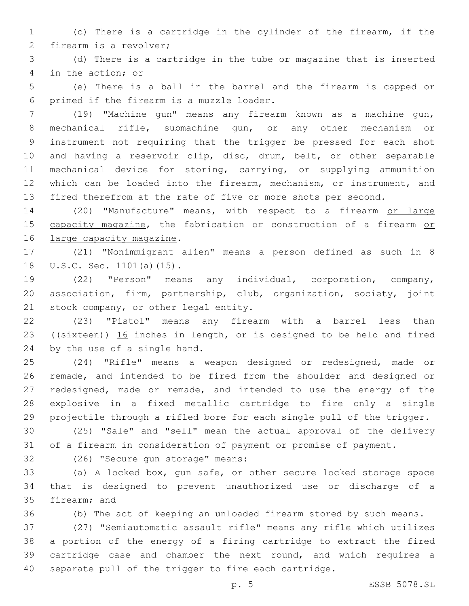(c) There is a cartridge in the cylinder of the firearm, if the 2 firearm is a revolver;

 (d) There is a cartridge in the tube or magazine that is inserted 4 in the action; or

 (e) There is a ball in the barrel and the firearm is capped or 6 primed if the firearm is a muzzle loader.

 (19) "Machine gun" means any firearm known as a machine gun, mechanical rifle, submachine gun, or any other mechanism or instrument not requiring that the trigger be pressed for each shot and having a reservoir clip, disc, drum, belt, or other separable mechanical device for storing, carrying, or supplying ammunition which can be loaded into the firearm, mechanism, or instrument, and fired therefrom at the rate of five or more shots per second.

14 (20) "Manufacture" means, with respect to a firearm or large 15 capacity magazine, the fabrication or construction of a firearm or 16 large capacity magazine.

 (21) "Nonimmigrant alien" means a person defined as such in 8 18 U.S.C. Sec. 1101(a)(15).

 (22) "Person" means any individual, corporation, company, association, firm, partnership, club, organization, society, joint 21 stock company, or other legal entity.

 (23) "Pistol" means any firearm with a barrel less than 23 ((sixteen)) 16 inches in length, or is designed to be held and fired 24 by the use of a single hand.

 (24) "Rifle" means a weapon designed or redesigned, made or remade, and intended to be fired from the shoulder and designed or redesigned, made or remade, and intended to use the energy of the explosive in a fixed metallic cartridge to fire only a single projectile through a rifled bore for each single pull of the trigger.

 (25) "Sale" and "sell" mean the actual approval of the delivery of a firearm in consideration of payment or promise of payment.

32 (26) "Secure gun storage" means:

 (a) A locked box, gun safe, or other secure locked storage space that is designed to prevent unauthorized use or discharge of a 35 firearm; and

(b) The act of keeping an unloaded firearm stored by such means.

 (27) "Semiautomatic assault rifle" means any rifle which utilizes a portion of the energy of a firing cartridge to extract the fired cartridge case and chamber the next round, and which requires a separate pull of the trigger to fire each cartridge.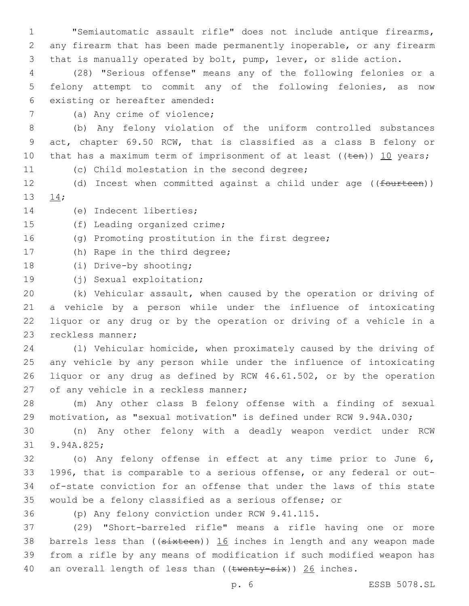1 "Semiautomatic assault rifle" does not include antique firearms, 2 any firearm that has been made permanently inoperable, or any firearm 3 that is manually operated by bolt, pump, lever, or slide action.

4 (28) "Serious offense" means any of the following felonies or a 5 felony attempt to commit any of the following felonies, as now 6 existing or hereafter amended:

7 (a) Any crime of violence;

8 (b) Any felony violation of the uniform controlled substances 9 act, chapter 69.50 RCW, that is classified as a class B felony or 10 that has a maximum term of imprisonment of at least  $((\text{ten}))$  10 years;

11 (c) Child molestation in the second degree;

12 (d) Incest when committed against a child under age ((fourteen)) 13 14;

14 (e) Indecent liberties;

15 (f) Leading organized crime;

16 (g) Promoting prostitution in the first degree;

17 (h) Rape in the third degree;

18 (i) Drive-by shooting;

19 (j) Sexual exploitation;

 (k) Vehicular assault, when caused by the operation or driving of a vehicle by a person while under the influence of intoxicating liquor or any drug or by the operation or driving of a vehicle in a 23 reckless manner;

 (l) Vehicular homicide, when proximately caused by the driving of any vehicle by any person while under the influence of intoxicating liquor or any drug as defined by RCW 46.61.502, or by the operation 27 of any vehicle in a reckless manner;

28 (m) Any other class B felony offense with a finding of sexual 29 motivation, as "sexual motivation" is defined under RCW 9.94A.030;

30 (n) Any other felony with a deadly weapon verdict under RCW 31 9.94A.825;

 (o) Any felony offense in effect at any time prior to June 6, 1996, that is comparable to a serious offense, or any federal or out- of-state conviction for an offense that under the laws of this state would be a felony classified as a serious offense; or

36 (p) Any felony conviction under RCW 9.41.115.

37 (29) "Short-barreled rifle" means a rifle having one or more 38 barrels less than ((sixteen)) 16 inches in length and any weapon made 39 from a rifle by any means of modification if such modified weapon has 40 an overall length of less than  $((\text{twenty-six}))$  26 inches.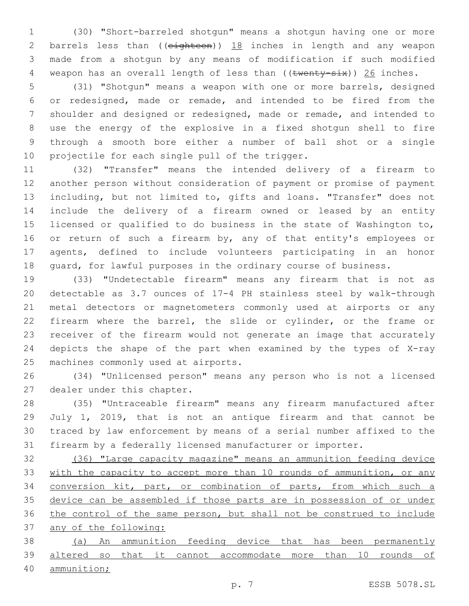(30) "Short-barreled shotgun" means a shotgun having one or more 2 barrels less than ((eighteen)) 18 inches in length and any weapon made from a shotgun by any means of modification if such modified 4 weapon has an overall length of less than ((twenty-six)) 26 inches.

 (31) "Shotgun" means a weapon with one or more barrels, designed or redesigned, made or remade, and intended to be fired from the shoulder and designed or redesigned, made or remade, and intended to use the energy of the explosive in a fixed shotgun shell to fire through a smooth bore either a number of ball shot or a single 10 projectile for each single pull of the trigger.

 (32) "Transfer" means the intended delivery of a firearm to another person without consideration of payment or promise of payment including, but not limited to, gifts and loans. "Transfer" does not include the delivery of a firearm owned or leased by an entity licensed or qualified to do business in the state of Washington to, 16 or return of such a firearm by, any of that entity's employees or agents, defined to include volunteers participating in an honor guard, for lawful purposes in the ordinary course of business.

 (33) "Undetectable firearm" means any firearm that is not as detectable as 3.7 ounces of 17-4 PH stainless steel by walk-through metal detectors or magnetometers commonly used at airports or any firearm where the barrel, the slide or cylinder, or the frame or receiver of the firearm would not generate an image that accurately depicts the shape of the part when examined by the types of X-ray 25 machines commonly used at airports.

 (34) "Unlicensed person" means any person who is not a licensed 27 dealer under this chapter.

 (35) "Untraceable firearm" means any firearm manufactured after July 1, 2019, that is not an antique firearm and that cannot be traced by law enforcement by means of a serial number affixed to the firearm by a federally licensed manufacturer or importer.

 (36) "Large capacity magazine" means an ammunition feeding device 33 with the capacity to accept more than 10 rounds of ammunition, or any conversion kit, part, or combination of parts, from which such a 35 device can be assembled if those parts are in possession of or under the control of the same person, but shall not be construed to include any of the following:

 (a) An ammunition feeding device that has been permanently altered so that it cannot accommodate more than 10 rounds of

ammunition;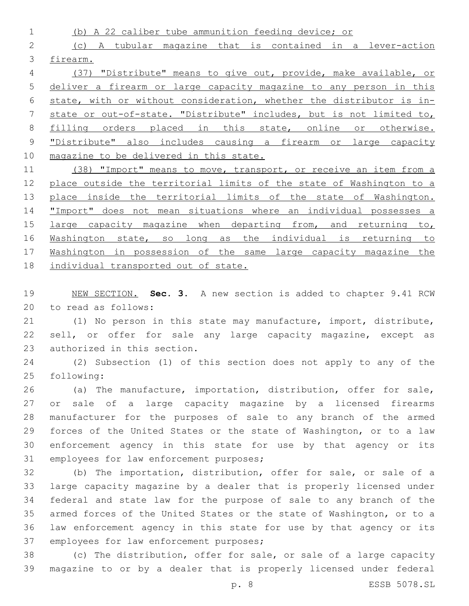(b) A 22 caliber tube ammunition feeding device; or (c) A tubular magazine that is contained in a lever-action firearm. (37) "Distribute" means to give out, provide, make available, or

 deliver a firearm or large capacity magazine to any person in this state, with or without consideration, whether the distributor is in- state or out-of-state. "Distribute" includes, but is not limited to, filling orders placed in this state, online or otherwise. "Distribute" also includes causing a firearm or large capacity magazine to be delivered in this state.

11 (38) "Import" means to move, transport, or receive an item from a 12 place outside the territorial limits of the state of Washington to a 13 place inside the territorial limits of the state of Washington. 14 "Import" does not mean situations where an individual possesses a 15 large capacity magazine when departing from, and returning to, 16 Washington state, so long as the individual is returning to Washington in possession of the same large capacity magazine the individual transported out of state.

 NEW SECTION. **Sec. 3.** A new section is added to chapter 9.41 RCW 20 to read as follows:

 (1) No person in this state may manufacture, import, distribute, 22 sell, or offer for sale any large capacity magazine, except as 23 authorized in this section.

 (2) Subsection (1) of this section does not apply to any of the 25 following:

 (a) The manufacture, importation, distribution, offer for sale, or sale of a large capacity magazine by a licensed firearms manufacturer for the purposes of sale to any branch of the armed forces of the United States or the state of Washington, or to a law enforcement agency in this state for use by that agency or its 31 employees for law enforcement purposes;

 (b) The importation, distribution, offer for sale, or sale of a large capacity magazine by a dealer that is properly licensed under federal and state law for the purpose of sale to any branch of the armed forces of the United States or the state of Washington, or to a law enforcement agency in this state for use by that agency or its 37 employees for law enforcement purposes;

 (c) The distribution, offer for sale, or sale of a large capacity magazine to or by a dealer that is properly licensed under federal

p. 8 ESSB 5078.SL